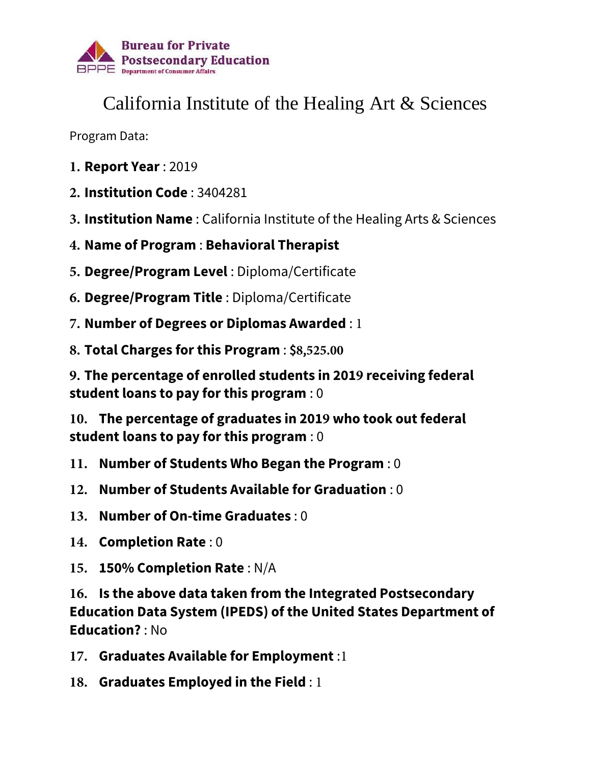

## California Institute of the Healing Art & Sciences

Program Data:

- **1. Report Year** : 2019
- **2. Institution Code** : 3404281
- **3. Institution Name** : California Institute of the Healing Arts & Sciences
- **4. Name of Program** : **Behavioral Therapist**
- **5. Degree/Program Level** : Diploma/Certificate
- **6. Degree/Program Title** : Diploma/Certificate
- **7. Number of Degrees or Diplomas Awarded** : 1
- **8. Total Charges for this Program** : \$**8**,**525.00**

**9. The percentage of enrolled students in 2019 receiving federal student loans to pay for this program** : 0

**10. The percentage of graduates in 2019 who took out federal student loans to pay for this program** : 0

- **11. Number of Students Who Began the Program** : 0
- **12. Number of Students Available for Graduation** : 0
- **13. Number of On-time Graduates** : 0
- **14. Completion Rate** : 0
- **15. 150% Completion Rate** : N/A

**16. Is the above data taken from the Integrated Postsecondary Education Data System (IPEDS) of the United States Department of Education?** : No

- **17. Graduates Available for Employment** :1
- **18. Graduates Employed in the Field** : 1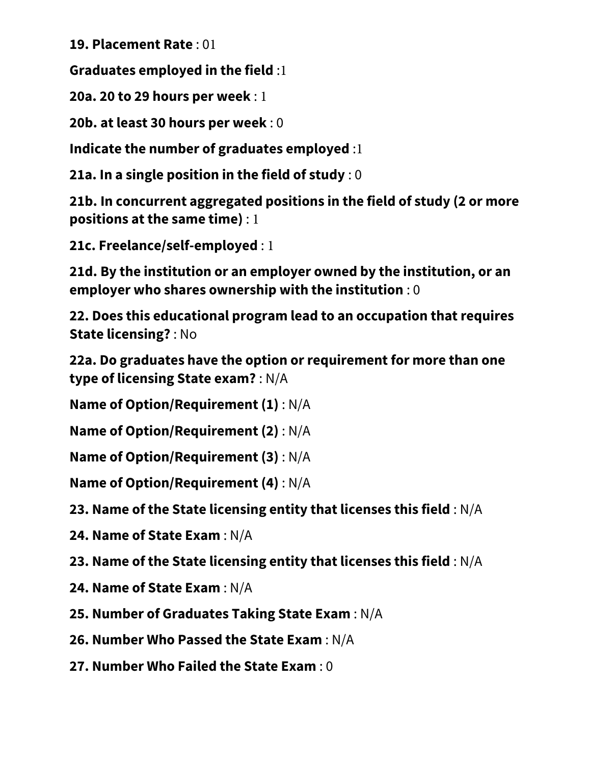**19. Placement Rate** : 01

**Graduates employed in the field** :1

**20a. 20 to 29 hours per week** : 1

**20b. at least 30 hours per week** : 0

**Indicate the number of graduates employed** :1

**21a. In a single position in the field of study** : 0

**21b. In concurrent aggregated positions in the field of study (2 or more positions at the same time)** : 1

**21c. Freelance/self-employed** : 1

**21d. By the institution or an employer owned by the institution, or an employer who shares ownership with the institution** : 0

**22. Does this educational program lead to an occupation that requires State licensing?** : No

**22a. Do graduates have the option or requirement for more than one type of licensing State exam?** : N/A

**Name of Option/Requirement (1)** : N/A

**Name of Option/Requirement (2)** : N/A

**Name of Option/Requirement (3)** : N/A

**Name of Option/Requirement (4)** : N/A

**23. Name of the State licensing entity that licenses this field** : N/A

**24. Name of State Exam** : N/A

**23. Name of the State licensing entity that licenses this field** : N/A

**24. Name of State Exam** : N/A

**25. Number of Graduates Taking State Exam** : N/A

**26. Number Who Passed the State Exam** : N/A

**27. Number Who Failed the State Exam** : 0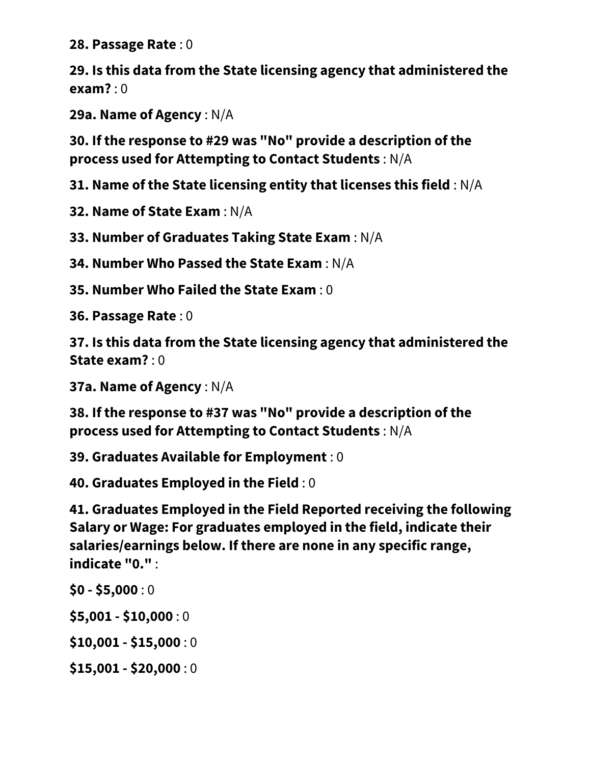**28. Passage Rate** : 0

**29. Is this data from the State licensing agency that administered the exam?** : 0

**29a. Name of Agency** : N/A

**30. If the response to #29 was "No" provide a description of the process used for Attempting to Contact Students** : N/A

**31. Name of the State licensing entity that licenses this field** : N/A

**32. Name of State Exam** : N/A

**33. Number of Graduates Taking State Exam** : N/A

**34. Number Who Passed the State Exam** : N/A

**35. Number Who Failed the State Exam** : 0

**36. Passage Rate** : 0

**37. Is this data from the State licensing agency that administered the State exam?** : 0

**37a. Name of Agency** : N/A

**38. If the response to #37 was "No" provide a description of the process used for Attempting to Contact Students** : N/A

**39. Graduates Available for Employment** : 0

**40. Graduates Employed in the Field** : 0

**41. Graduates Employed in the Field Reported receiving the following Salary or Wage: For graduates employed in the field, indicate their salaries/earnings below. If there are none in any specific range, indicate "0."** :

**\$0 - \$5,000** : 0

**\$5,001 - \$10,000** : 0

**\$10,001 - \$15,000** : 0

**\$15,001 - \$20,000** : 0